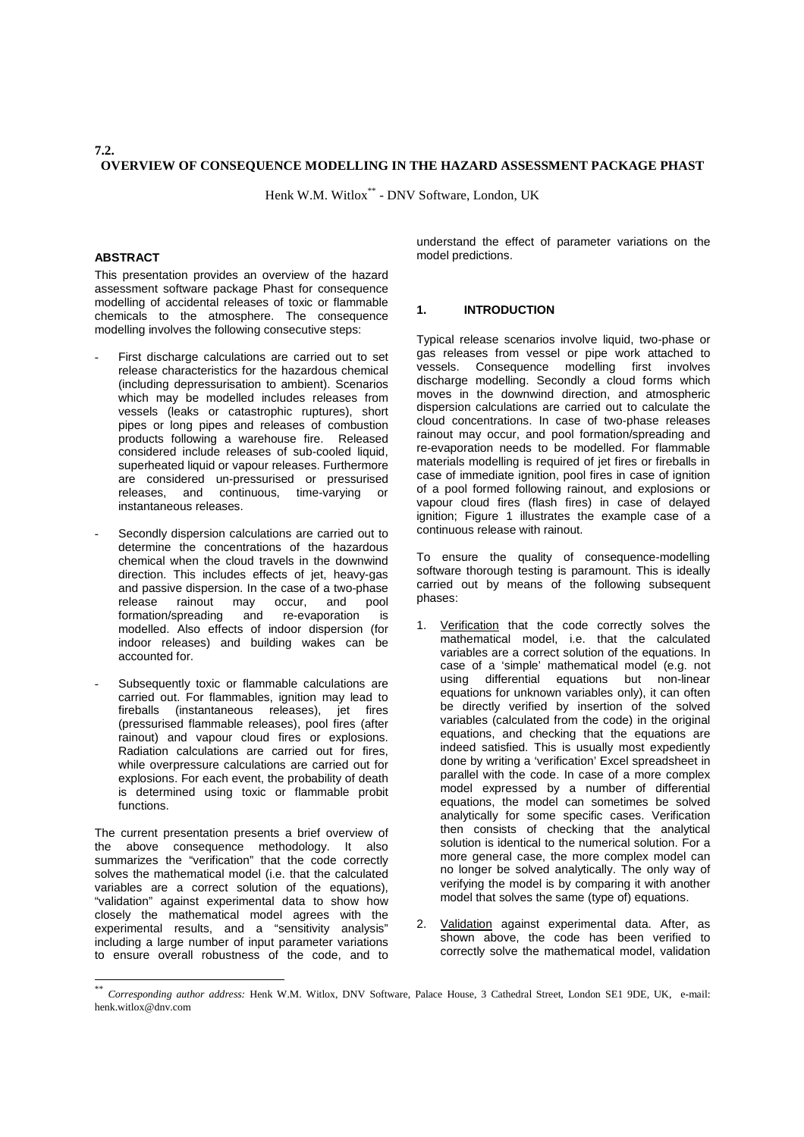# **7.2. OVERVIEW OF CONSEQUENCE MODELLING IN THE HAZARD ASSESSMENT PACKAGE PHAST**

Henk W.M. Witlox\*\* - DNV Software, London, UK

# **ABSTRACT**

This presentation provides an overview of the hazard assessment software package Phast for consequence modelling of accidental releases of toxic or flammable chemicals to the atmosphere. The consequence modelling involves the following consecutive steps:

- First discharge calculations are carried out to set release characteristics for the hazardous chemical (including depressurisation to ambient). Scenarios which may be modelled includes releases from vessels (leaks or catastrophic ruptures), short pipes or long pipes and releases of combustion products following a warehouse fire. Released considered include releases of sub-cooled liquid, superheated liquid or vapour releases. Furthermore are considered un-pressurised or pressurised releases, and continuous, time-varying or instantaneous releases.
- Secondly dispersion calculations are carried out to determine the concentrations of the hazardous chemical when the cloud travels in the downwind direction. This includes effects of jet, heavy-gas and passive dispersion. In the case of a two-phase release rainout may occur, and pool<br>formation/spreading and re-evaporation is formation/spreading and re-evaporation is modelled. Also effects of indoor dispersion (for indoor releases) and building wakes can be accounted for.
- Subsequently toxic or flammable calculations are carried out. For flammables, ignition may lead to fireballs (instantaneous releases), jet fires (pressurised flammable releases), pool fires (after rainout) and vapour cloud fires or explosions. Radiation calculations are carried out for fires, while overpressure calculations are carried out for explosions. For each event, the probability of death is determined using toxic or flammable probit functions.

The current presentation presents a brief overview of the above consequence methodology. It also summarizes the "verification" that the code correctly solves the mathematical model (i.e. that the calculated variables are a correct solution of the equations), "validation" against experimental data to show how closely the mathematical model agrees with the experimental results, and a "sensitivity analysis" including a large number of input parameter variations to ensure overall robustness of the code, and to

 $\overline{a}$ 

understand the effect of parameter variations on the model predictions.

## **1. INTRODUCTION**

Typical release scenarios involve liquid, two-phase or gas releases from vessel or pipe work attached to vessels. Consequence modelling first involves discharge modelling. Secondly a cloud forms which moves in the downwind direction, and atmospheric dispersion calculations are carried out to calculate the cloud concentrations. In case of two-phase releases rainout may occur, and pool formation/spreading and re-evaporation needs to be modelled. For flammable materials modelling is required of jet fires or fireballs in case of immediate ignition, pool fires in case of ignition of a pool formed following rainout, and explosions or vapour cloud fires (flash fires) in case of delayed ignition; Figure 1 illustrates the example case of a continuous release with rainout.

To ensure the quality of consequence-modelling software thorough testing is paramount. This is ideally carried out by means of the following subsequent phases:

- 1. Verification that the code correctly solves the mathematical model, i.e. that the calculated variables are a correct solution of the equations. In case of a 'simple' mathematical model (e.g. not using differential equations but non-linear equations for unknown variables only), it can often be directly verified by insertion of the solved variables (calculated from the code) in the original equations, and checking that the equations are indeed satisfied. This is usually most expediently done by writing a 'verification' Excel spreadsheet in parallel with the code. In case of a more complex model expressed by a number of differential equations, the model can sometimes be solved analytically for some specific cases. Verification then consists of checking that the analytical solution is identical to the numerical solution. For a more general case, the more complex model can no longer be solved analytically. The only way of verifying the model is by comparing it with another model that solves the same (type of) equations.
- Validation against experimental data. After, as shown above, the code has been verified to correctly solve the mathematical model, validation

<sup>\*\*</sup> *Corresponding author address:* Henk W.M. Witlox, DNV Software, Palace House, 3 Cathedral Street, London SE1 9DE, UK, e-mail: henk.witlox@dnv.com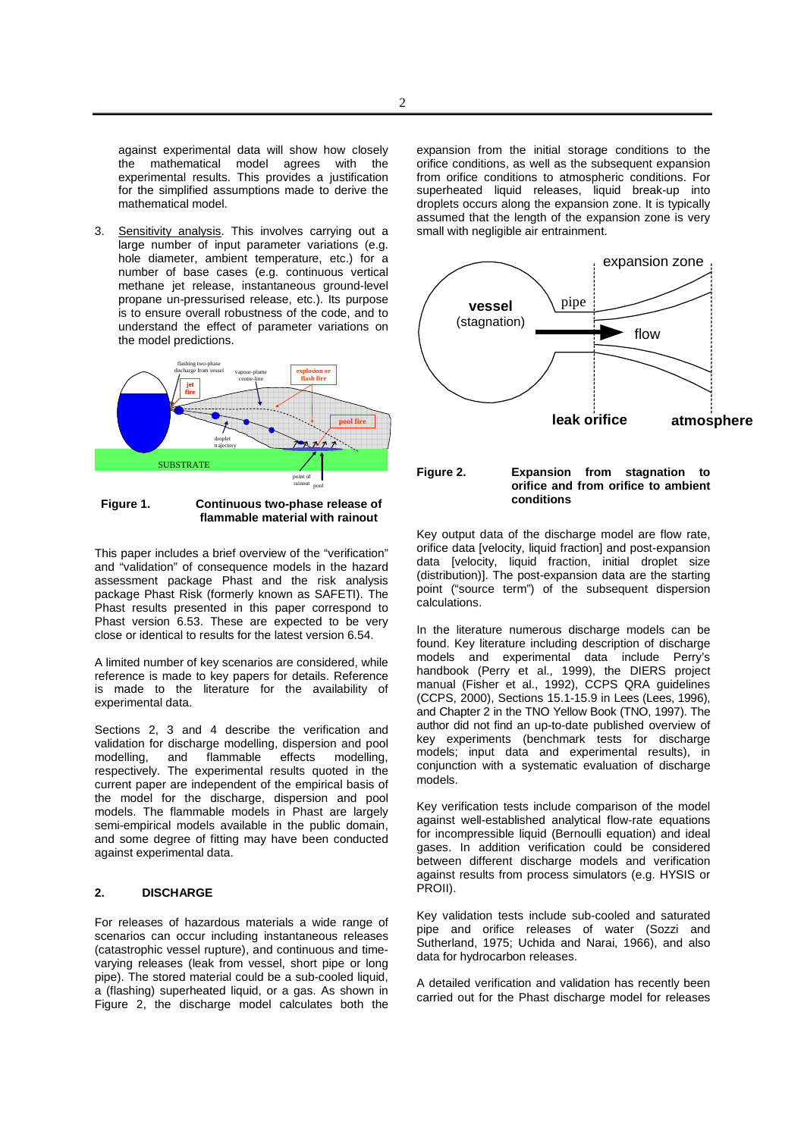against experimental data will show how closely the mathematical model agrees with the experimental results. This provides a justification for the simplified assumptions made to derive the mathematical model.

3. Sensitivity analysis. This involves carrying out a large number of input parameter variations (e.g. hole diameter, ambient temperature, etc.) for a number of base cases (e.g. continuous vertical methane jet release, instantaneous ground-level propane un-pressurised release, etc.). Its purpose is to ensure overall robustness of the code, and to understand the effect of parameter variations on the model predictions.



**Figure 1. Continuous two-phase release of flammable material with rainout** 

This paper includes a brief overview of the "verification" and "validation" of consequence models in the hazard assessment package Phast and the risk analysis package Phast Risk (formerly known as SAFETI). The Phast results presented in this paper correspond to Phast version 6.53. These are expected to be very close or identical to results for the latest version 6.54.

A limited number of key scenarios are considered, while reference is made to key papers for details. Reference is made to the literature for the availability of experimental data.

Sections 2, 3 and 4 describe the verification and validation for discharge modelling, dispersion and pool modelling, and flammable effects modelling, respectively. The experimental results quoted in the current paper are independent of the empirical basis of the model for the discharge, dispersion and pool models. The flammable models in Phast are largely semi-empirical models available in the public domain, and some degree of fitting may have been conducted against experimental data.

# **2. DISCHARGE**

For releases of hazardous materials a wide range of scenarios can occur including instantaneous releases (catastrophic vessel rupture), and continuous and timevarying releases (leak from vessel, short pipe or long pipe). The stored material could be a sub-cooled liquid, a (flashing) superheated liquid, or a gas. As shown in Figure 2, the discharge model calculates both the

expansion from the initial storage conditions to the orifice conditions, as well as the subsequent expansion from orifice conditions to atmospheric conditions. For superheated liquid releases, liquid break-up into droplets occurs along the expansion zone. It is typically assumed that the length of the expansion zone is very small with negligible air entrainment.





Key output data of the discharge model are flow rate, orifice data [velocity, liquid fraction] and post-expansion data [velocity, liquid fraction, initial droplet size (distribution)]. The post-expansion data are the starting point ("source term") of the subsequent dispersion calculations.

In the literature numerous discharge models can be found. Key literature including description of discharge models and experimental data include Perry's handbook (Perry et al., 1999), the DIERS project manual (Fisher et al., 1992), CCPS QRA guidelines (CCPS, 2000), Sections 15.1-15.9 in Lees (Lees, 1996), and Chapter 2 in the TNO Yellow Book (TNO, 1997). The author did not find an up-to-date published overview of key experiments (benchmark tests for discharge models; input data and experimental results), in conjunction with a systematic evaluation of discharge models.

Key verification tests include comparison of the model against well-established analytical flow-rate equations for incompressible liquid (Bernoulli equation) and ideal gases. In addition verification could be considered between different discharge models and verification against results from process simulators (e.g. HYSIS or PROII).

Key validation tests include sub-cooled and saturated pipe and orifice releases of water (Sozzi and Sutherland, 1975; Uchida and Narai, 1966), and also data for hydrocarbon releases.

A detailed verification and validation has recently been carried out for the Phast discharge model for releases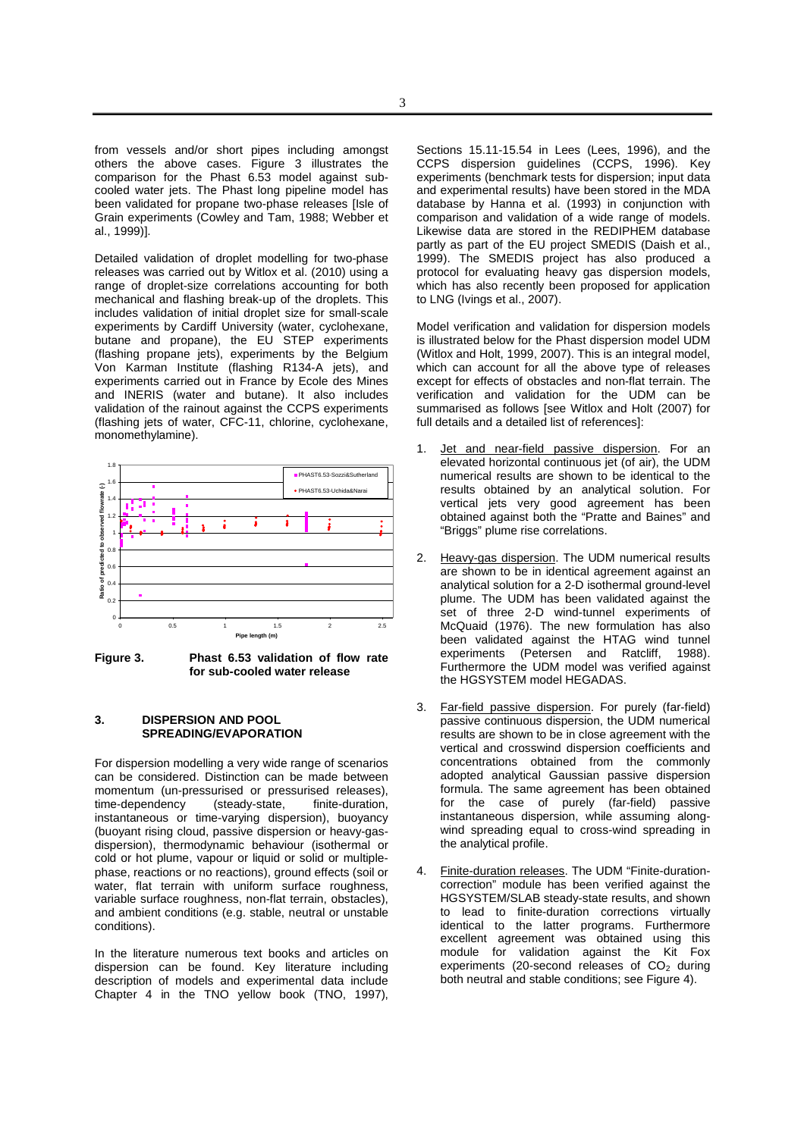from vessels and/or short pipes including amongst others the above cases. Figure 3 illustrates the comparison for the Phast 6.53 model against subcooled water jets. The Phast long pipeline model has been validated for propane two-phase releases [Isle of Grain experiments (Cowley and Tam, 1988; Webber et al., 1999)].

Detailed validation of droplet modelling for two-phase releases was carried out by Witlox et al. (2010) using a range of droplet-size correlations accounting for both mechanical and flashing break-up of the droplets. This includes validation of initial droplet size for small-scale experiments by Cardiff University (water, cyclohexane, butane and propane), the EU STEP experiments (flashing propane jets), experiments by the Belgium Von Karman Institute (flashing R134-A jets), and experiments carried out in France by Ecole des Mines and INERIS (water and butane). It also includes validation of the rainout against the CCPS experiments (flashing jets of water, CFC-11, chlorine, cyclohexane, monomethylamine).



**Figure 3. Phast 6.53 validation of flow rate for sub-cooled water release** 

## **3. DISPERSION AND POOL SPREADING/EVAPORATION**

For dispersion modelling a very wide range of scenarios can be considered. Distinction can be made between momentum (un-pressurised or pressurised releases),<br>time-dependency (steady-state, finite-duration, time-dependency instantaneous or time-varying dispersion), buoyancy (buoyant rising cloud, passive dispersion or heavy-gasdispersion), thermodynamic behaviour (isothermal or cold or hot plume, vapour or liquid or solid or multiplephase, reactions or no reactions), ground effects (soil or water, flat terrain with uniform surface roughness, variable surface roughness, non-flat terrain, obstacles), and ambient conditions (e.g. stable, neutral or unstable conditions).

In the literature numerous text books and articles on dispersion can be found. Key literature including description of models and experimental data include Chapter 4 in the TNO yellow book (TNO, 1997),

Sections 15.11-15.54 in Lees (Lees, 1996), and the CCPS dispersion guidelines (CCPS, 1996). Key experiments (benchmark tests for dispersion; input data and experimental results) have been stored in the MDA database by Hanna et al. (1993) in conjunction with comparison and validation of a wide range of models. Likewise data are stored in the REDIPHEM database partly as part of the EU project SMEDIS (Daish et al., 1999). The SMEDIS project has also produced a protocol for evaluating heavy gas dispersion models, which has also recently been proposed for application to LNG (Ivings et al., 2007).

Model verification and validation for dispersion models is illustrated below for the Phast dispersion model UDM (Witlox and Holt, 1999, 2007). This is an integral model, which can account for all the above type of releases except for effects of obstacles and non-flat terrain. The verification and validation for the UDM can be summarised as follows [see Witlox and Holt (2007) for full details and a detailed list of references]:

- 1. Jet and near-field passive dispersion. For an elevated horizontal continuous jet (of air), the UDM numerical results are shown to be identical to the results obtained by an analytical solution. For vertical jets very good agreement has been obtained against both the "Pratte and Baines" and "Briggs" plume rise correlations.
- 2. Heavy-gas dispersion. The UDM numerical results are shown to be in identical agreement against an analytical solution for a 2-D isothermal ground-level plume. The UDM has been validated against the set of three 2-D wind-tunnel experiments of McQuaid (1976). The new formulation has also been validated against the HTAG wind tunnel experiments (Petersen and Ratcliff, 1988). Furthermore the UDM model was verified against the HGSYSTEM model HEGADAS.
- 3. Far-field passive dispersion. For purely (far-field) passive continuous dispersion, the UDM numerical results are shown to be in close agreement with the vertical and crosswind dispersion coefficients and concentrations obtained from the commonly adopted analytical Gaussian passive dispersion formula. The same agreement has been obtained for the case of purely (far-field) passive instantaneous dispersion, while assuming alongwind spreading equal to cross-wind spreading in the analytical profile.
- 4. Finite-duration releases. The UDM "Finite-durationcorrection" module has been verified against the HGSYSTEM/SLAB steady-state results, and shown to lead to finite-duration corrections virtually identical to the latter programs. Furthermore excellent agreement was obtained using this module for validation against the Kit Fox experiments (20-second releases of  $CO<sub>2</sub>$  during both neutral and stable conditions; see Figure 4).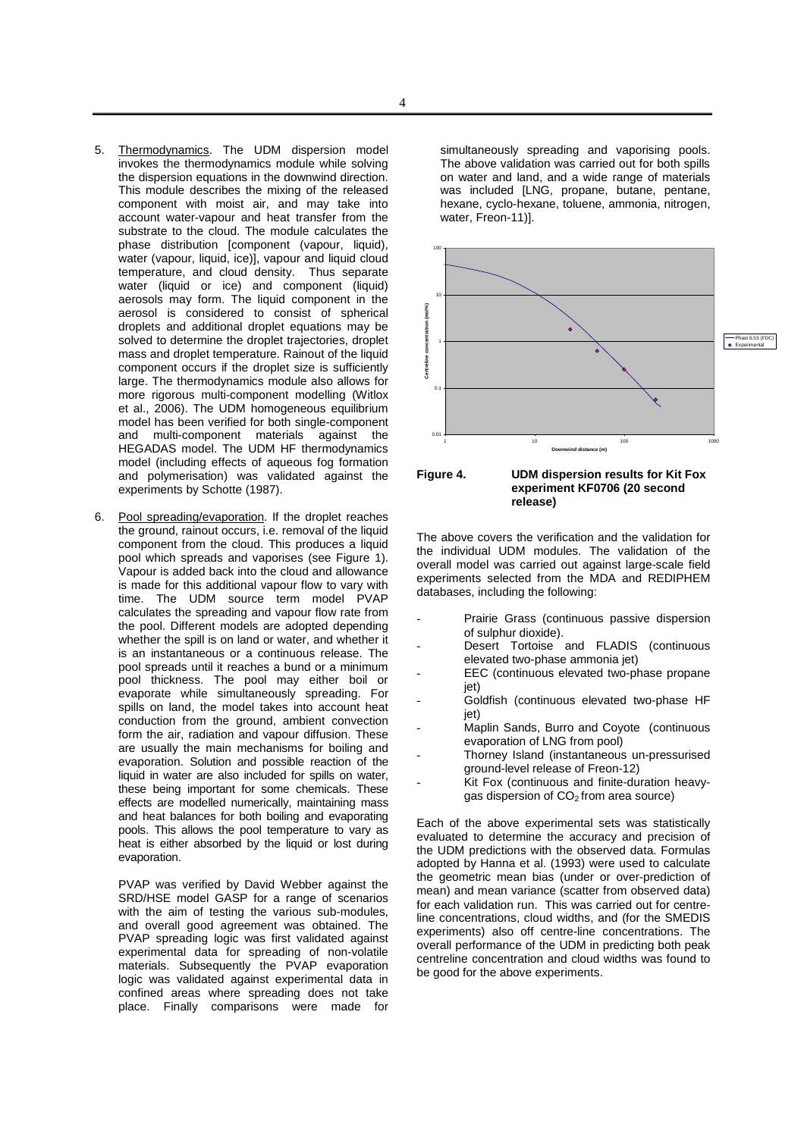- 5. Thermodynamics. The UDM dispersion model invokes the thermodynamics module while solving the dispersion equations in the downwind direction. This module describes the mixing of the released component with moist air, and may take into account water-vapour and heat transfer from the substrate to the cloud. The module calculates the phase distribution [component (vapour, liquid), water (vapour, liquid, ice)], vapour and liquid cloud temperature, and cloud density. Thus separate water (liquid or ice) and component (liquid) aerosols may form. The liquid component in the aerosol is considered to consist of spherical droplets and additional droplet equations may be solved to determine the droplet trajectories, droplet mass and droplet temperature. Rainout of the liquid component occurs if the droplet size is sufficiently large. The thermodynamics module also allows for more rigorous multi-component modelling (Witlox et al., 2006). The UDM homogeneous equilibrium model has been verified for both single-component and multi-component materials against the HEGADAS model. The UDM HF thermodynamics model (including effects of aqueous fog formation and polymerisation) was validated against the experiments by Schotte (1987).
- 6. Pool spreading/evaporation. If the droplet reaches the ground, rainout occurs, i.e. removal of the liquid component from the cloud. This produces a liquid pool which spreads and vaporises (see Figure 1). Vapour is added back into the cloud and allowance is made for this additional vapour flow to vary with time. The UDM source term model PVAP calculates the spreading and vapour flow rate from the pool. Different models are adopted depending whether the spill is on land or water, and whether it is an instantaneous or a continuous release. The pool spreads until it reaches a bund or a minimum pool thickness. The pool may either boil or evaporate while simultaneously spreading. For spills on land, the model takes into account heat conduction from the ground, ambient convection form the air, radiation and vapour diffusion. These are usually the main mechanisms for boiling and evaporation. Solution and possible reaction of the liquid in water are also included for spills on water, these being important for some chemicals. These effects are modelled numerically, maintaining mass and heat balances for both boiling and evaporating pools. This allows the pool temperature to vary as heat is either absorbed by the liquid or lost during evaporation.

 PVAP was verified by David Webber against the SRD/HSE model GASP for a range of scenarios with the aim of testing the various sub-modules, and overall good agreement was obtained. The PVAP spreading logic was first validated against experimental data for spreading of non-volatile materials. Subsequently the PVAP evaporation logic was validated against experimental data in confined areas where spreading does not take place. Finally comparisons were made for simultaneously spreading and vaporising pools. The above validation was carried out for both spills on water and land, and a wide range of materials was included [LNG, propane, butane, pentane, hexane, cyclo-hexane, toluene, ammonia, nitrogen, water, Freon-11)].



**Figure 4. UDM dispersion results for Kit Fox experiment KF0706 (20 second release)** 

The above covers the verification and the validation for the individual UDM modules. The validation of the overall model was carried out against large-scale field experiments selected from the MDA and REDIPHEM databases, including the following:

- Prairie Grass (continuous passive dispersion of sulphur dioxide).
- Desert Tortoise and FLADIS (continuous elevated two-phase ammonia jet)
- EEC (continuous elevated two-phase propane iet)
- Goldfish (continuous elevated two-phase HF iet)
- Maplin Sands, Burro and Coyote (continuous evaporation of LNG from pool)
- Thorney Island (instantaneous un-pressurised ground-level release of Freon-12)
- Kit Fox (continuous and finite-duration heavygas dispersion of  $CO<sub>2</sub>$  from area source)

Each of the above experimental sets was statistically evaluated to determine the accuracy and precision of the UDM predictions with the observed data. Formulas adopted by Hanna et al. (1993) were used to calculate the geometric mean bias (under or over-prediction of mean) and mean variance (scatter from observed data) for each validation run. This was carried out for centreline concentrations, cloud widths, and (for the SMEDIS experiments) also off centre-line concentrations. The overall performance of the UDM in predicting both peak centreline concentration and cloud widths was found to be good for the above experiments.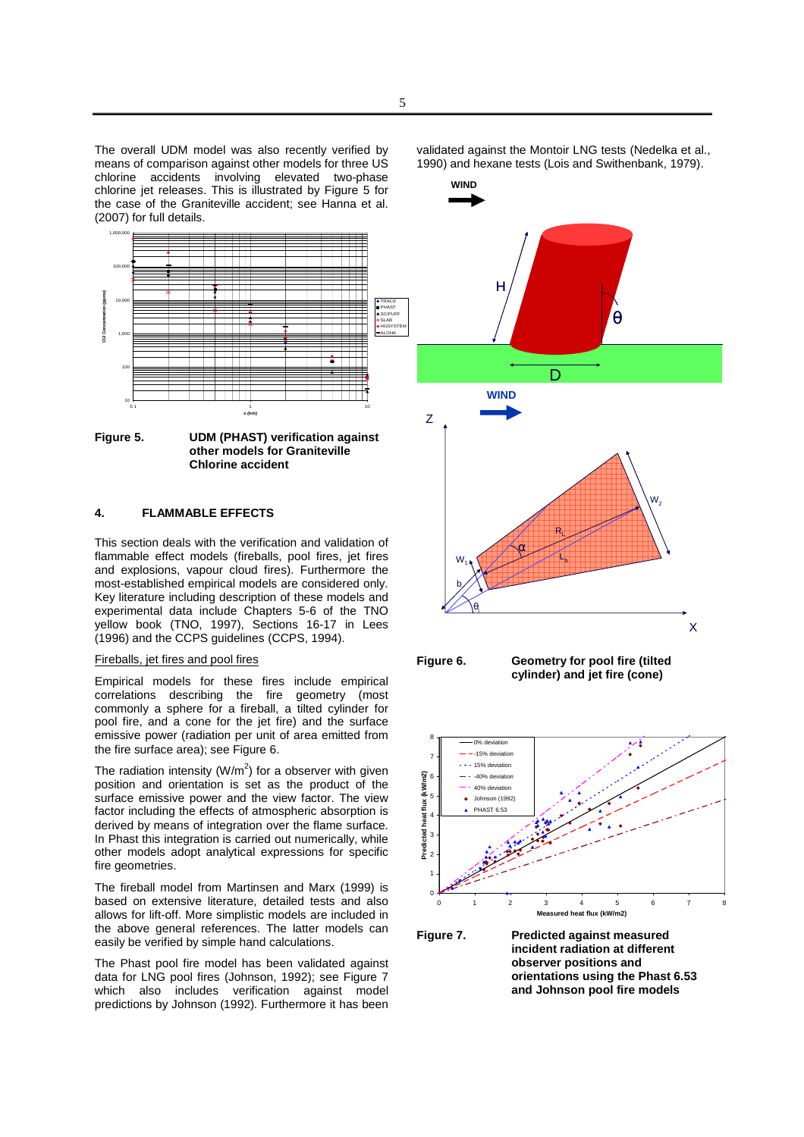The overall UDM model was also recently verified by means of comparison against other models for three US chlorine accidents involving elevated two-phase chlorine iet releases. This is illustrated by Figure 5 for the case of the Graniteville accident; see Hanna et al. (2007) for full details.



**Figure 5. UDM (PHAST) verification against other models for Graniteville Chlorine accident** 

# **4. FLAMMABLE EFFECTS**

This section deals with the verification and validation of flammable effect models (fireballs, pool fires, jet fires and explosions, vapour cloud fires). Furthermore the most-established empirical models are considered only. Key literature including description of these models and experimental data include Chapters 5-6 of the TNO yellow book (TNO, 1997), Sections 16-17 in Lees (1996) and the CCPS guidelines (CCPS, 1994).

#### Fireballs, jet fires and pool fires

Empirical models for these fires include empirical correlations describing the fire geometry (most commonly a sphere for a fireball, a tilted cylinder for pool fire, and a cone for the jet fire) and the surface emissive power (radiation per unit of area emitted from the fire surface area); see Figure 6.

The radiation intensity ( $W/m^2$ ) for a observer with given position and orientation is set as the product of the surface emissive power and the view factor. The view factor including the effects of atmospheric absorption is derived by means of integration over the flame surface. In Phast this integration is carried out numerically, while other models adopt analytical expressions for specific fire geometries.

The fireball model from Martinsen and Marx (1999) is based on extensive literature, detailed tests and also allows for lift-off. More simplistic models are included in the above general references. The latter models can easily be verified by simple hand calculations.

The Phast pool fire model has been validated against data for LNG pool fires (Johnson, 1992); see Figure 7 which also includes verification against model predictions by Johnson (1992). Furthermore it has been

validated against the Montoir LNG tests (Nedelka et al., 1990) and hexane tests (Lois and Swithenbank, 1979).





**Figure 6. Geometry for pool fire (tilted cylinder) and jet fire (cone)** 



**Figure 7. Predicted against measured incident radiation at different observer positions and orientations using the Phast 6.53 and Johnson pool fire models**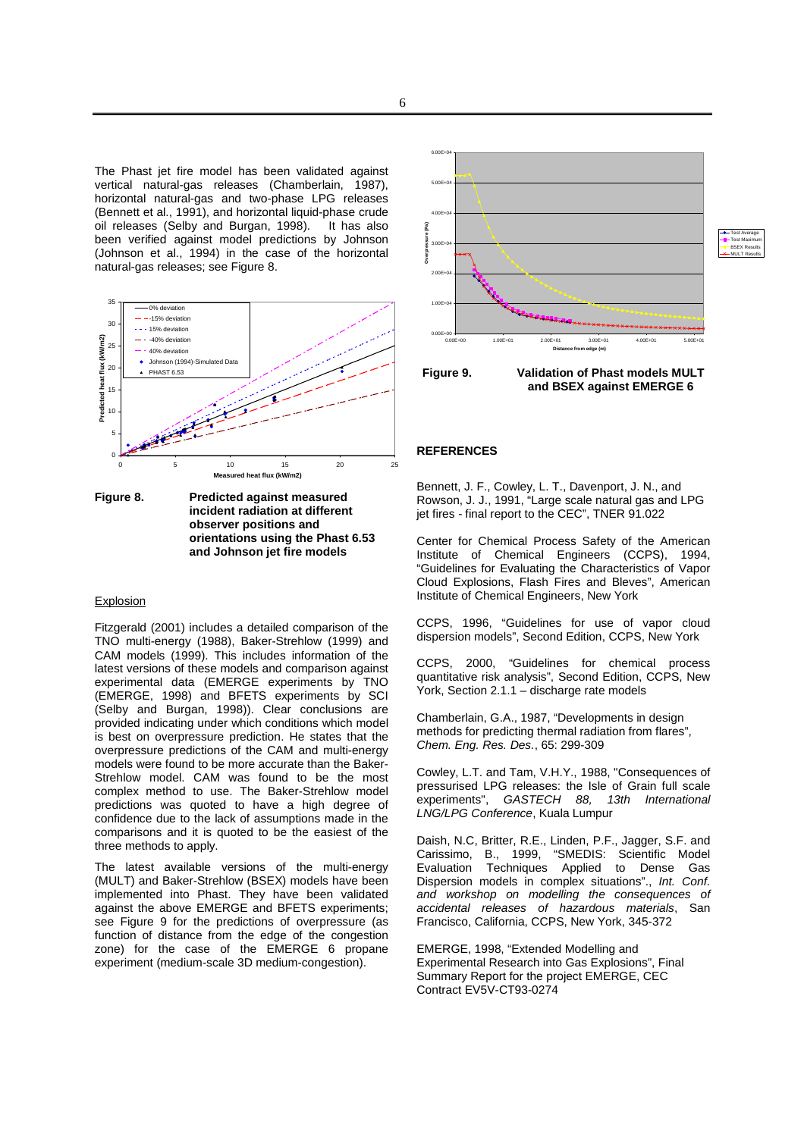The Phast jet fire model has been validated against vertical natural-gas releases (Chamberlain, 1987), horizontal natural-gas and two-phase LPG releases (Bennett et al., 1991), and horizontal liquid-phase crude oil releases (Selby and Burgan, 1998). It has also been verified against model predictions by Johnson (Johnson et al., 1994) in the case of the horizontal natural-gas releases; see Figure 8.



**Figure 8. Predicted against measured incident radiation at different observer positions and orientations using the Phast 6.53 and Johnson jet fire models** 

#### Explosion

Fitzgerald (2001) includes a detailed comparison of the TNO multi-energy (1988), Baker-Strehlow (1999) and CAM models (1999). This includes information of the latest versions of these models and comparison against experimental data (EMERGE experiments by TNO (EMERGE, 1998) and BFETS experiments by SCI (Selby and Burgan, 1998)). Clear conclusions are provided indicating under which conditions which model is best on overpressure prediction. He states that the overpressure predictions of the CAM and multi-energy models were found to be more accurate than the Baker-Strehlow model. CAM was found to be the most complex method to use. The Baker-Strehlow model predictions was quoted to have a high degree of confidence due to the lack of assumptions made in the comparisons and it is quoted to be the easiest of the three methods to apply.

The latest available versions of the multi-energy (MULT) and Baker-Strehlow (BSEX) models have been implemented into Phast. They have been validated against the above EMERGE and BFETS experiments; see Figure 9 for the predictions of overpressure (as function of distance from the edge of the congestion zone) for the case of the EMERGE 6 propane experiment (medium-scale 3D medium-congestion).



Test Average Test Maximum BSEX Results MULT Results

**and BSEX against EMERGE 6** 

## **REFERENCES**

Bennett, J. F., Cowley, L. T., Davenport, J. N., and Rowson, J. J., 1991, "Large scale natural gas and LPG jet fires - final report to the CEC", TNER 91.022

Center for Chemical Process Safety of the American Institute of Chemical Engineers (CCPS), 1994, "Guidelines for Evaluating the Characteristics of Vapor Cloud Explosions, Flash Fires and Bleves", American Institute of Chemical Engineers, New York

CCPS, 1996, "Guidelines for use of vapor cloud dispersion models", Second Edition, CCPS, New York

CCPS, 2000, "Guidelines for chemical process quantitative risk analysis", Second Edition, CCPS, New York, Section 2.1.1 – discharge rate models

Chamberlain, G.A., 1987, "Developments in design methods for predicting thermal radiation from flares", Chem. Eng. Res. Des., 65: 299-309

Cowley, L.T. and Tam, V.H.Y., 1988, "Consequences of pressurised LPG releases: the Isle of Grain full scale experiments", GASTECH 88, 13th International LNG/LPG Conference, Kuala Lumpur

Daish, N.C, Britter, R.E., Linden, P.F., Jagger, S.F. and Carissimo, B., 1999, "SMEDIS: Scientific Model Evaluation Techniques Applied to Dense Gas Dispersion models in complex situations"., Int. Conf. and workshop on modelling the consequences of accidental releases of hazardous materials, San Francisco, California, CCPS, New York, 345-372

EMERGE, 1998, "Extended Modelling and Experimental Research into Gas Explosions", Final Summary Report for the project EMERGE, CEC Contract EV5V-CT93-0274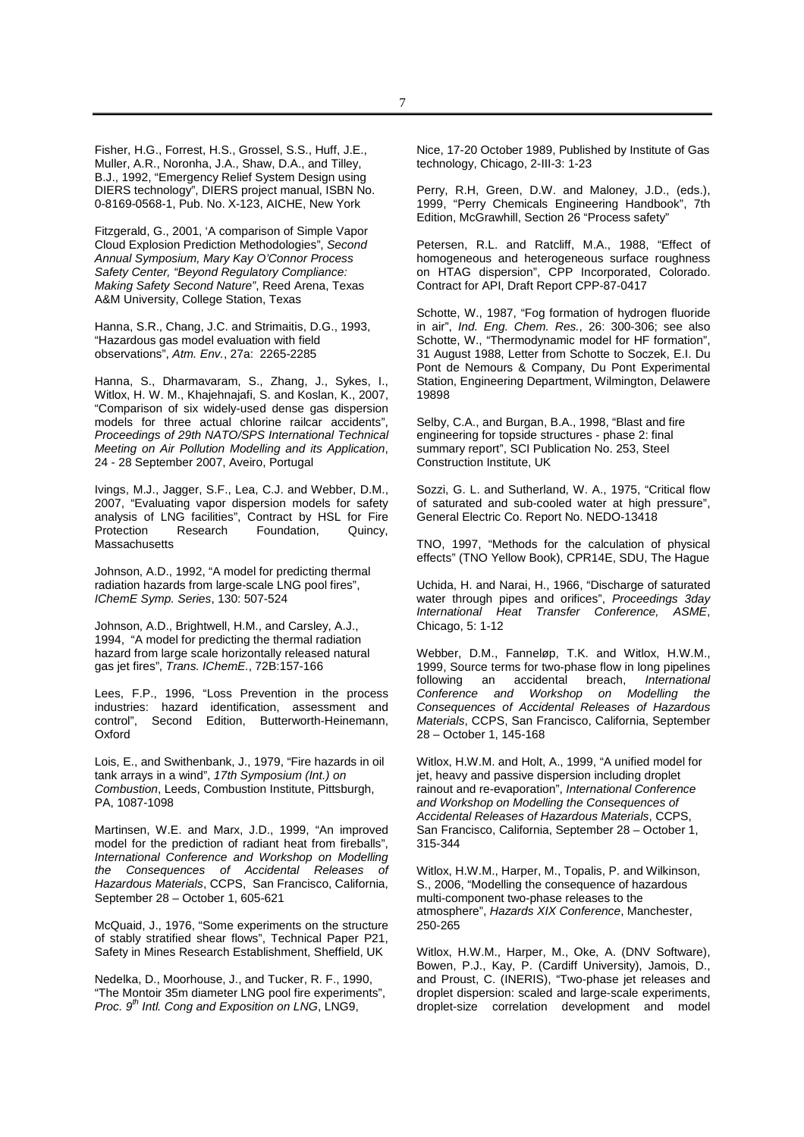Fisher, H.G., Forrest, H.S., Grossel, S.S., Huff, J.E., Muller, A.R., Noronha, J.A., Shaw, D.A., and Tilley, B.J., 1992, "Emergency Relief System Design using DIERS technology", DIERS project manual, ISBN No. 0-8169-0568-1, Pub. No. X-123, AICHE, New York

Fitzgerald, G., 2001, 'A comparison of Simple Vapor Cloud Explosion Prediction Methodologies", Second Annual Symposium, Mary Kay O'Connor Process Safety Center, "Beyond Regulatory Compliance: Making Safety Second Nature", Reed Arena, Texas A&M University, College Station, Texas

Hanna, S.R., Chang, J.C. and Strimaitis, D.G., 1993, "Hazardous gas model evaluation with field observations", Atm. Env., 27a: 2265-2285

Hanna, S., Dharmavaram, S., Zhang, J., Sykes, I., Witlox, H. W. M., Khajehnajafi, S. and Koslan, K., 2007, "Comparison of six widely-used dense gas dispersion models for three actual chlorine railcar accidents", Proceedings of 29th NATO/SPS International Technical Meeting on Air Pollution Modelling and its Application, 24 - 28 September 2007, Aveiro, Portugal

Ivings, M.J., Jagger, S.F., Lea, C.J. and Webber, D.M., 2007, "Evaluating vapor dispersion models for safety analysis of LNG facilities", Contract by HSL for Fire Foundation, Quincy, **Massachusetts** 

Johnson, A.D., 1992, "A model for predicting thermal radiation hazards from large-scale LNG pool fires", IChemE Symp. Series, 130: 507-524

Johnson, A.D., Brightwell, H.M., and Carsley, A.J., 1994, "A model for predicting the thermal radiation hazard from large scale horizontally released natural gas jet fires", Trans. IChemE., 72B:157-166

Lees, F.P., 1996, "Loss Prevention in the process industries: hazard identification, assessment and control", Second Edition, Butterworth-Heinemann, Oxford

Lois, E., and Swithenbank, J., 1979, "Fire hazards in oil tank arrays in a wind", 17th Symposium (Int.) on Combustion, Leeds, Combustion Institute, Pittsburgh, PA, 1087-1098

Martinsen, W.E. and Marx, J.D., 1999, "An improved model for the prediction of radiant heat from fireballs", International Conference and Workshop on Modelling the Consequences of Accidental Releases of Hazardous Materials, CCPS, San Francisco, California, September 28 – October 1, 605-621

McQuaid, J., 1976, "Some experiments on the structure of stably stratified shear flows", Technical Paper P21, Safety in Mines Research Establishment, Sheffield, UK

Nedelka, D., Moorhouse, J., and Tucker, R. F., 1990, "The Montoir 35m diameter LNG pool fire experiments", Proc.  $9<sup>th</sup>$  Intl. Cong and Exposition on LNG, LNG9,

Nice, 17-20 October 1989, Published by Institute of Gas technology, Chicago, 2-III-3: 1-23

Perry, R.H, Green, D.W. and Maloney, J.D., (eds.), 1999, "Perry Chemicals Engineering Handbook", 7th Edition, McGrawhill, Section 26 "Process safety"

Petersen, R.L. and Ratcliff, M.A., 1988, "Effect of homogeneous and heterogeneous surface roughness on HTAG dispersion", CPP Incorporated, Colorado. Contract for API, Draft Report CPP-87-0417

Schotte, W., 1987, "Fog formation of hydrogen fluoride in air", Ind. Eng. Chem. Res., 26: 300-306; see also Schotte, W., "Thermodynamic model for HF formation", 31 August 1988, Letter from Schotte to Soczek, E.I. Du Pont de Nemours & Company, Du Pont Experimental Station, Engineering Department, Wilmington, Delawere 19898

Selby, C.A., and Burgan, B.A., 1998, "Blast and fire engineering for topside structures - phase 2: final summary report", SCI Publication No. 253, Steel Construction Institute, UK

Sozzi, G. L. and Sutherland, W. A., 1975, "Critical flow of saturated and sub-cooled water at high pressure", General Electric Co. Report No. NEDO-13418

TNO, 1997, "Methods for the calculation of physical effects" (TNO Yellow Book), CPR14E, SDU, The Hague

Uchida, H. and Narai, H., 1966, "Discharge of saturated water through pipes and orifices", Proceedings 3day International Heat Transfer Conference, ASME, Chicago, 5: 1-12

Webber, D.M., Fanneløp, T.K. and Witlox, H.W.M., 1999, Source terms for two-phase flow in long pipelines following an accidental breach, International Conference and Workshop on Modelling the Consequences of Accidental Releases of Hazardous Materials, CCPS, San Francisco, California, September 28 – October 1, 145-168

Witlox, H.W.M. and Holt, A., 1999, "A unified model for jet, heavy and passive dispersion including droplet rainout and re-evaporation", International Conference and Workshop on Modelling the Consequences of Accidental Releases of Hazardous Materials, CCPS, San Francisco, California, September 28 – October 1, 315-344

Witlox, H.W.M., Harper, M., Topalis, P. and Wilkinson, S., 2006, "Modelling the consequence of hazardous multi-component two-phase releases to the atmosphere", Hazards XIX Conference, Manchester, 250-265

Witlox, H.W.M., Harper, M., Oke, A. (DNV Software), Bowen, P.J., Kay, P. (Cardiff University), Jamois, D., and Proust, C. (INERIS), "Two-phase jet releases and droplet dispersion: scaled and large-scale experiments, droplet-size correlation development and model